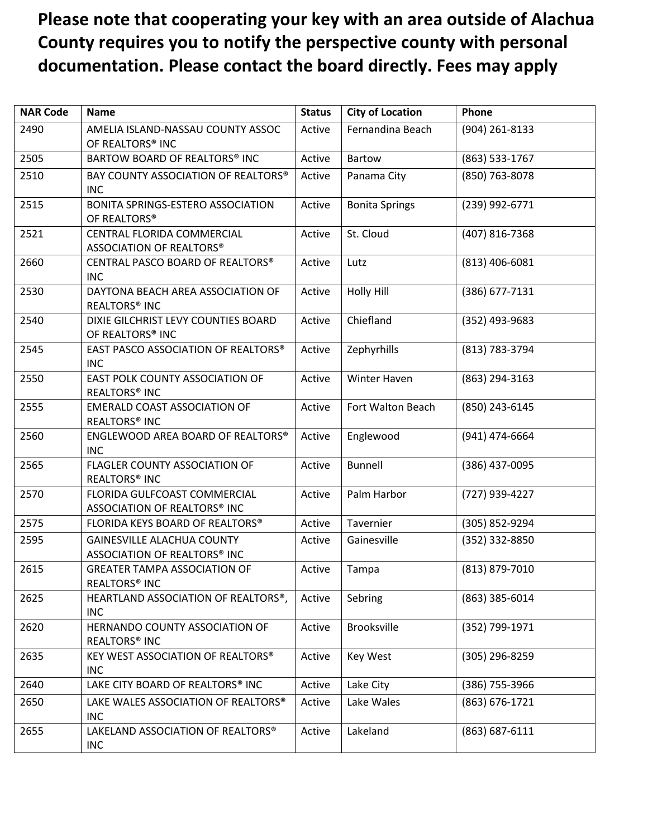## **Please note that cooperating your key with an area outside of Alachua County requires you to notify the perspective county with personal documentation. Please contact the board directly. Fees may apply**

| <b>NAR Code</b> | <b>Name</b>                                                       | <b>Status</b> | <b>City of Location</b> | Phone          |
|-----------------|-------------------------------------------------------------------|---------------|-------------------------|----------------|
| 2490            | AMELIA ISLAND-NASSAU COUNTY ASSOC<br>OF REALTORS® INC             | Active        | Fernandina Beach        | (904) 261-8133 |
| 2505            | BARTOW BOARD OF REALTORS® INC                                     | Active        | <b>Bartow</b>           | (863) 533-1767 |
| 2510            | BAY COUNTY ASSOCIATION OF REALTORS®<br><b>INC</b>                 | Active        | Panama City             | (850) 763-8078 |
| 2515            | BONITA SPRINGS-ESTERO ASSOCIATION<br>OF REALTORS®                 | Active        | <b>Bonita Springs</b>   | (239) 992-6771 |
| 2521            | CENTRAL FLORIDA COMMERCIAL<br>ASSOCIATION OF REALTORS®            | Active        | St. Cloud               | (407) 816-7368 |
| 2660            | CENTRAL PASCO BOARD OF REALTORS®<br><b>INC</b>                    | Active        | Lutz                    | (813) 406-6081 |
| 2530            | DAYTONA BEACH AREA ASSOCIATION OF<br>REALTORS <sup>®</sup> INC    | Active        | Holly Hill              | (386) 677-7131 |
| 2540            | DIXIE GILCHRIST LEVY COUNTIES BOARD<br>OF REALTORS® INC           | Active        | Chiefland               | (352) 493-9683 |
| 2545            | EAST PASCO ASSOCIATION OF REALTORS®<br><b>INC</b>                 | Active        | Zephyrhills             | (813) 783-3794 |
| 2550            | EAST POLK COUNTY ASSOCIATION OF<br>REALTORS <sup>®</sup> INC      | Active        | Winter Haven            | (863) 294-3163 |
| 2555            | <b>EMERALD COAST ASSOCIATION OF</b><br>REALTORS <sup>®</sup> INC  | Active        | Fort Walton Beach       | (850) 243-6145 |
| 2560            | ENGLEWOOD AREA BOARD OF REALTORS®<br><b>INC</b>                   | Active        | Englewood               | (941) 474-6664 |
| 2565            | FLAGLER COUNTY ASSOCIATION OF<br>REALTORS <sup>®</sup> INC        | Active        | <b>Bunnell</b>          | (386) 437-0095 |
| 2570            | FLORIDA GULFCOAST COMMERCIAL<br>ASSOCIATION OF REALTORS® INC      | Active        | Palm Harbor             | (727) 939-4227 |
| 2575            | FLORIDA KEYS BOARD OF REALTORS®                                   | Active        | Tavernier               | (305) 852-9294 |
| 2595            | <b>GAINESVILLE ALACHUA COUNTY</b><br>ASSOCIATION OF REALTORS® INC | Active        | Gainesville             | (352) 332-8850 |
| 2615            | <b>GREATER TAMPA ASSOCIATION OF</b><br><b>REALTORS® INC</b>       | Active        | Tampa                   | (813) 879-7010 |
| 2625            | HEARTLAND ASSOCIATION OF REALTORS®,<br><b>INC</b>                 | Active        | Sebring                 | (863) 385-6014 |
| 2620            | HERNANDO COUNTY ASSOCIATION OF<br>REALTORS <sup>®</sup> INC       | Active        | <b>Brooksville</b>      | (352) 799-1971 |
| 2635            | <b>KEY WEST ASSOCIATION OF REALTORS®</b><br><b>INC</b>            | Active        | <b>Key West</b>         | (305) 296-8259 |
| 2640            | LAKE CITY BOARD OF REALTORS® INC                                  | Active        | Lake City               | (386) 755-3966 |
| 2650            | LAKE WALES ASSOCIATION OF REALTORS®<br><b>INC</b>                 | Active        | Lake Wales              | (863) 676-1721 |
| 2655            | LAKELAND ASSOCIATION OF REALTORS®<br>INC                          | Active        | Lakeland                | (863) 687-6111 |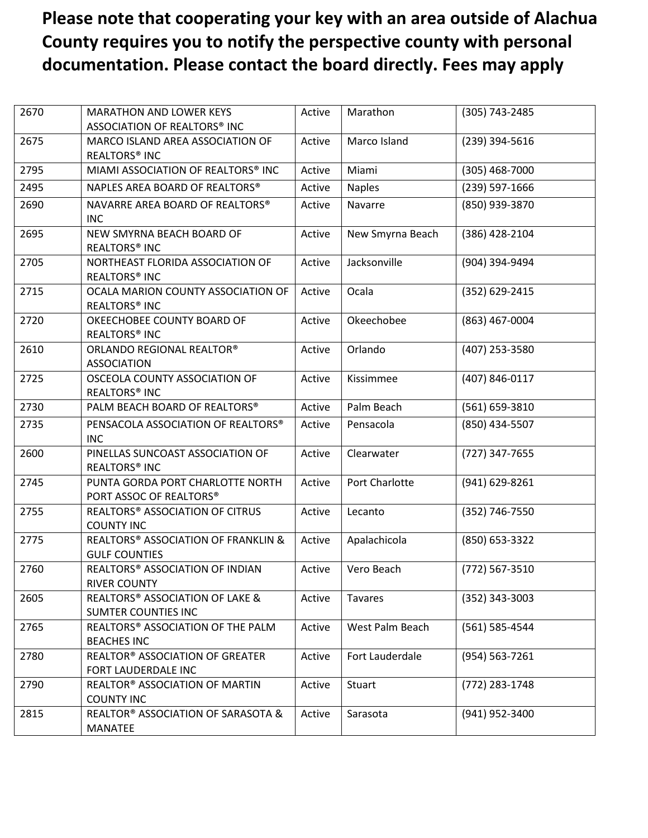## **Please note that cooperating your key with an area outside of Alachua County requires you to notify the perspective county with personal documentation. Please contact the board directly. Fees may apply**

| 2670 | <b>MARATHON AND LOWER KEYS</b><br>ASSOCIATION OF REALTORS® INC  | Active | Marathon         | (305) 743-2485 |
|------|-----------------------------------------------------------------|--------|------------------|----------------|
| 2675 | MARCO ISLAND AREA ASSOCIATION OF<br>REALTORS <sup>®</sup> INC   | Active | Marco Island     | (239) 394-5616 |
| 2795 | MIAMI ASSOCIATION OF REALTORS® INC                              | Active | Miami            | (305) 468-7000 |
| 2495 | NAPLES AREA BOARD OF REALTORS®                                  | Active | <b>Naples</b>    | (239) 597-1666 |
| 2690 | NAVARRE AREA BOARD OF REALTORS®<br><b>INC</b>                   | Active | Navarre          | (850) 939-3870 |
| 2695 | NEW SMYRNA BEACH BOARD OF<br>REALTORS <sup>®</sup> INC          | Active | New Smyrna Beach | (386) 428-2104 |
| 2705 | NORTHEAST FLORIDA ASSOCIATION OF<br>REALTORS <sup>®</sup> INC   | Active | Jacksonville     | (904) 394-9494 |
| 2715 | OCALA MARION COUNTY ASSOCIATION OF<br>REALTORS <sup>®</sup> INC | Active | Ocala            | (352) 629-2415 |
| 2720 | OKEECHOBEE COUNTY BOARD OF<br><b>REALTORS® INC</b>              | Active | Okeechobee       | (863) 467-0004 |
| 2610 | ORLANDO REGIONAL REALTOR®<br><b>ASSOCIATION</b>                 | Active | Orlando          | (407) 253-3580 |
| 2725 | OSCEOLA COUNTY ASSOCIATION OF<br>REALTORS <sup>®</sup> INC      | Active | Kissimmee        | (407) 846-0117 |
| 2730 | PALM BEACH BOARD OF REALTORS®                                   | Active | Palm Beach       | (561) 659-3810 |
| 2735 | PENSACOLA ASSOCIATION OF REALTORS®<br><b>INC</b>                | Active | Pensacola        | (850) 434-5507 |
| 2600 | PINELLAS SUNCOAST ASSOCIATION OF<br>REALTORS <sup>®</sup> INC   | Active | Clearwater       | (727) 347-7655 |
| 2745 | PUNTA GORDA PORT CHARLOTTE NORTH<br>PORT ASSOC OF REALTORS®     | Active | Port Charlotte   | (941) 629-8261 |
| 2755 | REALTORS® ASSOCIATION OF CITRUS<br><b>COUNTY INC</b>            | Active | Lecanto          | (352) 746-7550 |
| 2775 | REALTORS® ASSOCIATION OF FRANKLIN &<br><b>GULF COUNTIES</b>     | Active | Apalachicola     | (850) 653-3322 |
| 2760 | REALTORS® ASSOCIATION OF INDIAN<br><b>RIVER COUNTY</b>          | Active | Vero Beach       | (772) 567-3510 |
| 2605 | REALTORS® ASSOCIATION OF LAKE &<br><b>SUMTER COUNTIES INC</b>   | Active | <b>Tavares</b>   | (352) 343-3003 |
| 2765 | REALTORS® ASSOCIATION OF THE PALM<br><b>BEACHES INC</b>         | Active | West Palm Beach  | (561) 585-4544 |
| 2780 | <b>REALTOR® ASSOCIATION OF GREATER</b><br>FORT LAUDERDALE INC   | Active | Fort Lauderdale  | (954) 563-7261 |
| 2790 | REALTOR® ASSOCIATION OF MARTIN<br><b>COUNTY INC</b>             | Active | Stuart           | (772) 283-1748 |
| 2815 | REALTOR® ASSOCIATION OF SARASOTA &<br><b>MANATEE</b>            | Active | Sarasota         | (941) 952-3400 |